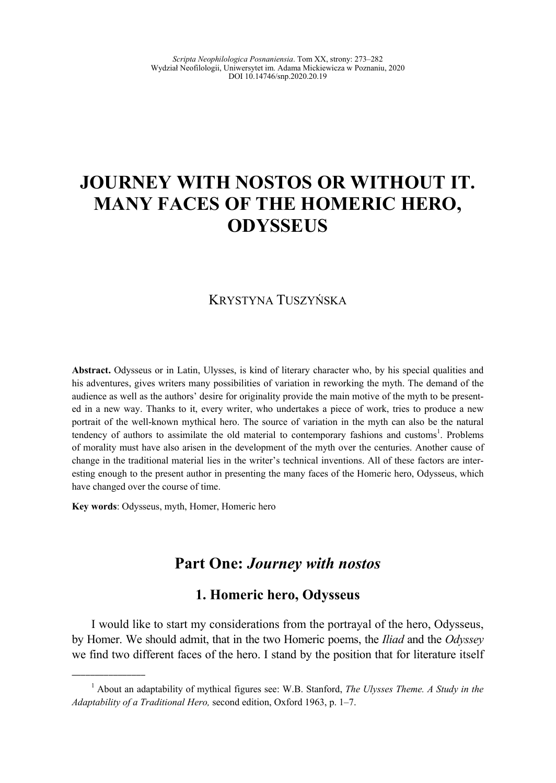# **JOURNEY WITH NOSTOS OR WITHOUT IT. MANY FACES OF THE HOMERIC HERO, ODYSSEUS**

# KRYSTYNA TUSZYŃSKA

**Abstract.** Odysseus or in Latin, Ulysses, is kind of literary character who, by his special qualities and his adventures, gives writers many possibilities of variation in reworking the myth. The demand of the audience as well as the authors' desire for originality provide the main motive of the myth to be presented in a new way. Thanks to it, every writer, who undertakes a piece of work, tries to produce a new portrait of the well-known mythical hero. The source of variation in the myth can also be the natural tendency of authors to assimilate the old material to contemporary fashions and customs<sup>1</sup>. Problems of morality must have also arisen in the development of the myth over the centuries. Another cause of change in the traditional material lies in the writer's technical inventions. All of these factors are interesting enough to the present author in presenting the many faces of the Homeric hero, Odysseus, which have changed over the course of time.

**Key words**: Odysseus, myth, Homer, Homeric hero

\_\_\_\_\_\_\_\_\_\_\_\_\_\_\_\_

# **Part One:** *Journey with nostos*

# **1. Homeric hero, Odysseus**

I would like to start my considerations from the portrayal of the hero, Odysseus, by Homer. We should admit, that in the two Homeric poems, the *Iliad* and the *Odyssey*  we find two different faces of the hero. I stand by the position that for literature itself

<sup>&</sup>lt;sup>1</sup> About an adaptability of mythical figures see: W.B. Stanford, *The Ulysses Theme. A Study in the Adaptability of a Traditional Hero,* second edition, Oxford 1963, p. 1–7.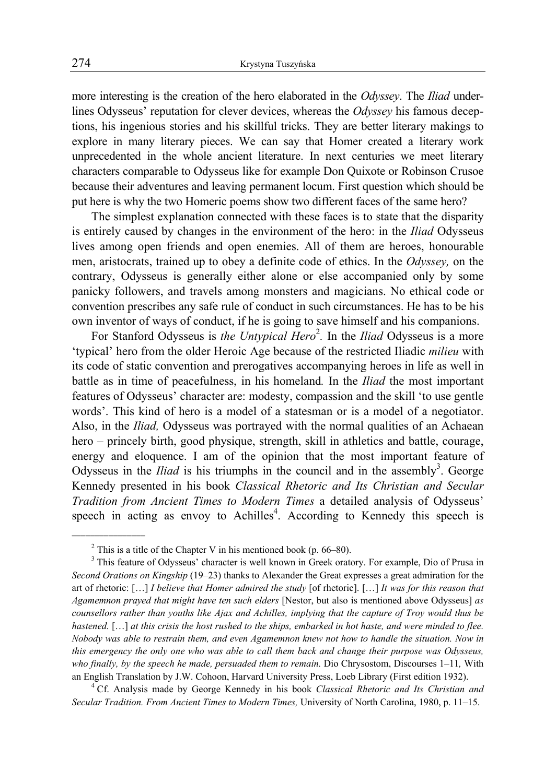more interesting is the creation of the hero elaborated in the *Odyssey*. The *Iliad* underlines Odysseus' reputation for clever devices, whereas the *Odyssey* his famous deceptions, his ingenious stories and his skillful tricks. They are better literary makings to explore in many literary pieces. We can say that Homer created a literary work unprecedented in the whole ancient literature. In next centuries we meet literary characters comparable to Odysseus like for example Don Quixote or Robinson Crusoe because their adventures and leaving permanent locum. First question which should be put here is why the two Homeric poems show two different faces of the same hero?

The simplest explanation connected with these faces is to state that the disparity is entirely caused by changes in the environment of the hero: in the *Iliad* Odysseus lives among open friends and open enemies. All of them are heroes, honourable men, aristocrats, trained up to obey a definite code of ethics. In the *Odyssey,* on the contrary, Odysseus is generally either alone or else accompanied only by some panicky followers, and travels among monsters and magicians. No ethical code or convention prescribes any safe rule of conduct in such circumstances. He has to be his own inventor of ways of conduct, if he is going to save himself and his companions.

For Stanford Odysseus is *the Untypical Hero*<sup>2</sup>. In the *Iliad* Odysseus is a more 'typical' hero from the older Heroic Age because of the restricted Iliadic *milieu* with its code of static convention and prerogatives accompanying heroes in life as well in battle as in time of peacefulness, in his homeland*.* In the *Iliad* the most important features of Odysseus' character are: modesty, compassion and the skill 'to use gentle words'. This kind of hero is a model of a statesman or is a model of a negotiator. Also, in the *Iliad,* Odysseus was portrayed with the normal qualities of an Achaean hero – princely birth, good physique, strength, skill in athletics and battle, courage, energy and eloquence. I am of the opinion that the most important feature of Odysseus in the *Iliad* is his triumphs in the council and in the assembly<sup>3</sup>. George Kennedy presented in his book *Classical Rhetoric and Its Christian and Secular Tradition from Ancient Times to Modern Times* a detailed analysis of Odysseus' speech in acting as envoy to Achilles<sup>4</sup>. According to Kennedy this speech is

<sup>&</sup>lt;sup>2</sup> This is a title of the Chapter V in his mentioned book (p. 66–80).

<sup>&</sup>lt;sup>3</sup> This feature of Odysseus' character is well known in Greek oratory. For example, Dio of Prusa in *Second Orations on Kingship* (19–23) thanks to Alexander the Great expresses a great admiration for the art of rhetoric: […] *I believe that Homer admired the study* [of rhetoric]. […] *It was for this reason that Agamemnon prayed that might have ten such elders* [Nestor, but also is mentioned above Odysseus] *as counsellors rather than youths like Ajax and Achilles, implying that the capture of Troy would thus be hastened.* […] *at this crisis the host rushed to the ships, embarked in hot haste, and were minded to flee. Nobody was able to restrain them, and even Agamemnon knew not how to handle the situation. Now in this emergency the only one who was able to call them back and change their purpose was Odysseus, who finally, by the speech he made, persuaded them to remain. Dio Chrysostom, Discourses 1–11, With* an English Translation by J.W. Cohoon, Harvard University Press, Loeb Library (First edition 1932). 4

Cf. Analysis made by George Kennedy in his book *Classical Rhetoric and Its Christian and Secular Tradition. From Ancient Times to Modern Times,* University of North Carolina, 1980, p. 11–15.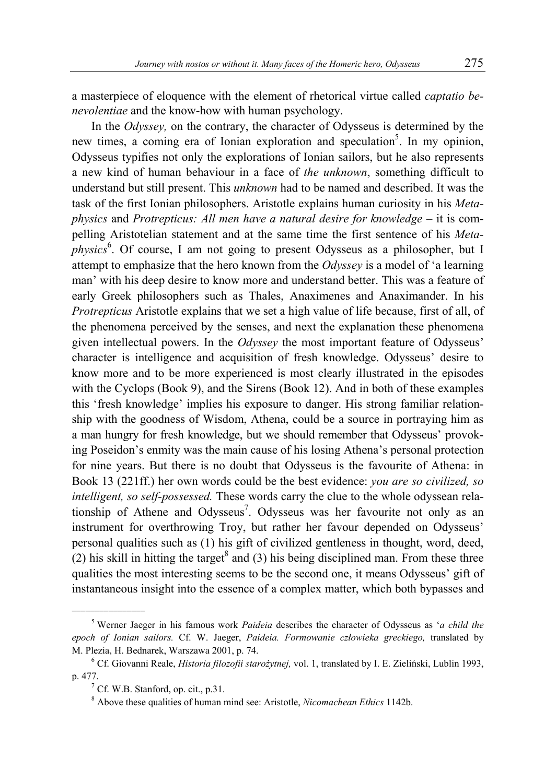a masterpiece of eloquence with the element of rhetorical virtue called *captatio benevolentiae* and the know-how with human psychology.

In the *Odyssey,* on the contrary, the character of Odysseus is determined by the new times, a coming era of Ionian exploration and speculation<sup>5</sup>. In my opinion, Odysseus typifies not only the explorations of Ionian sailors, but he also represents a new kind of human behaviour in a face of *the unknown*, something difficult to understand but still present. This *unknown* had to be named and described. It was the task of the first Ionian philosophers. Aristotle explains human curiosity in his *Metaphysics* and *Protrepticus: All men have a natural desire for knowledge* – it is compelling Aristotelian statement and at the same time the first sentence of his *Meta*physics<sup>6</sup>. Of course, I am not going to present Odysseus as a philosopher, but I attempt to emphasize that the hero known from the *Odyssey* is a model of 'a learning man' with his deep desire to know more and understand better. This was a feature of early Greek philosophers such as Thales, Anaximenes and Anaximander. In his *Protrepticus* Aristotle explains that we set a high value of life because, first of all, of the phenomena perceived by the senses, and next the explanation these phenomena given intellectual powers. In the *Odyssey* the most important feature of Odysseus' character is intelligence and acquisition of fresh knowledge. Odysseus' desire to know more and to be more experienced is most clearly illustrated in the episodes with the Cyclops (Book 9), and the Sirens (Book 12). And in both of these examples this 'fresh knowledge' implies his exposure to danger. His strong familiar relationship with the goodness of Wisdom, Athena, could be a source in portraying him as a man hungry for fresh knowledge, but we should remember that Odysseus' provoking Poseidon's enmity was the main cause of his losing Athena's personal protection for nine years. But there is no doubt that Odysseus is the favourite of Athena: in Book 13 (221ff.) her own words could be the best evidence: *you are so civilized, so intelligent, so self-possessed.* These words carry the clue to the whole odyssean relationship of Athene and Odysseus<sup>7</sup>. Odysseus was her favourite not only as an instrument for overthrowing Troy, but rather her favour depended on Odysseus' personal qualities such as (1) his gift of civilized gentleness in thought, word, deed, (2) his skill in hitting the target<sup>8</sup> and (3) his being disciplined man. From these three qualities the most interesting seems to be the second one, it means Odysseus' gift of instantaneous insight into the essence of a complex matter, which both bypasses and

 $\overline{\phantom{a}}$  , where  $\overline{\phantom{a}}$ 

<sup>5</sup> Werner Jaeger in his famous work *Paideia* describes the character of Odysseus as '*a child the epoch of Ionian sailors.* Cf. W. Jaeger, *Paideia. Formowanie człowieka greckiego,* translated by M. Plezia, H. Bednarek, Warszawa 2001, p. 74.

Cf. Giovanni Reale, *Historia filozofii starożytnej,* vol. 1, translated by I. E. Zieliński, Lublin 1993, p. 477.

<sup>&</sup>lt;sup>7</sup> Cf. W.B. Stanford, op. cit., p.31.

<sup>8</sup> Above these qualities of human mind see: Aristotle, *Nicomachean Ethics* 1142b.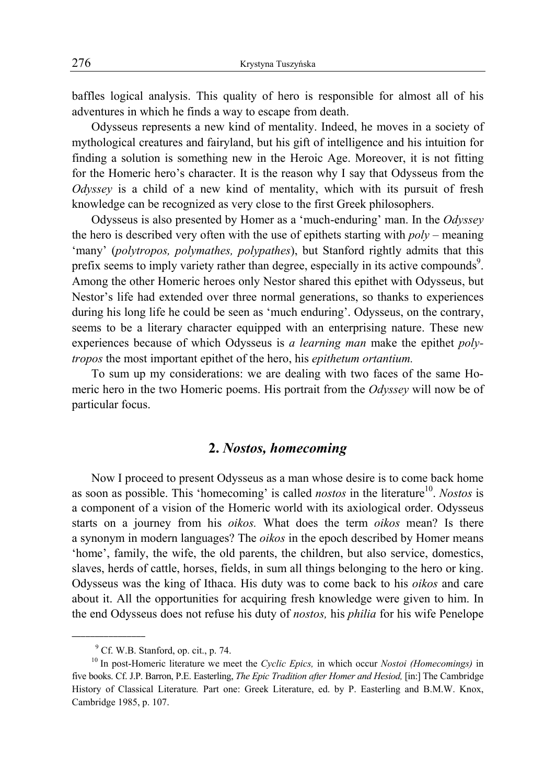baffles logical analysis. This quality of hero is responsible for almost all of his adventures in which he finds a way to escape from death.

Odysseus represents a new kind of mentality. Indeed, he moves in a society of mythological creatures and fairyland, but his gift of intelligence and his intuition for finding a solution is something new in the Heroic Age. Moreover, it is not fitting for the Homeric hero's character. It is the reason why I say that Odysseus from the *Odyssey* is a child of a new kind of mentality, which with its pursuit of fresh knowledge can be recognized as very close to the first Greek philosophers.

Odysseus is also presented by Homer as a 'much-enduring' man. In the *Odyssey*  the hero is described very often with the use of epithets starting with *poly –* meaning 'many' (*polytropos, polymathes, polypathes*), but Stanford rightly admits that this prefix seems to imply variety rather than degree, especially in its active compounds<sup>9</sup>. Among the other Homeric heroes only Nestor shared this epithet with Odysseus, but Nestor's life had extended over three normal generations, so thanks to experiences during his long life he could be seen as 'much enduring'. Odysseus, on the contrary, seems to be a literary character equipped with an enterprising nature. These new experiences because of which Odysseus is *a learning man* make the epithet *polytropos* the most important epithet of the hero, his *epithetum ortantium.* 

To sum up my considerations: we are dealing with two faces of the same Homeric hero in the two Homeric poems. His portrait from the *Odyssey* will now be of particular focus.

## **2.** *Nostos, homecoming*

Now I proceed to present Odysseus as a man whose desire is to come back home as soon as possible. This 'homecoming' is called *nostos* in the literature<sup>10</sup>. Nostos is a component of a vision of the Homeric world with its axiological order. Odysseus starts on a journey from his *oikos.* What does the term *oikos* mean? Is there a synonym in modern languages? The *oikos* in the epoch described by Homer means 'home', family, the wife, the old parents, the children, but also service, domestics, slaves, herds of cattle, horses, fields, in sum all things belonging to the hero or king. Odysseus was the king of Ithaca. His duty was to come back to his *oikos* and care about it. All the opportunities for acquiring fresh knowledge were given to him. In the end Odysseus does not refuse his duty of *nostos,* his *philia* for his wife Penelope

<sup>&</sup>lt;sup>9</sup> Cf. W.B. Stanford, op. cit., p. 74.

<sup>10</sup> In post-Homeric literature we meet the *Cyclic Epics,* in which occur *Nostoi (Homecomings)* in five books. Cf. J.P. Barron, P.E. Easterling, *The Epic Tradition after Homer and Hesiod,* [in:] The Cambridge History of Classical Literature*.* Part one: Greek Literature, ed. by P. Easterling and B.M.W. Knox, Cambridge 1985, p. 107.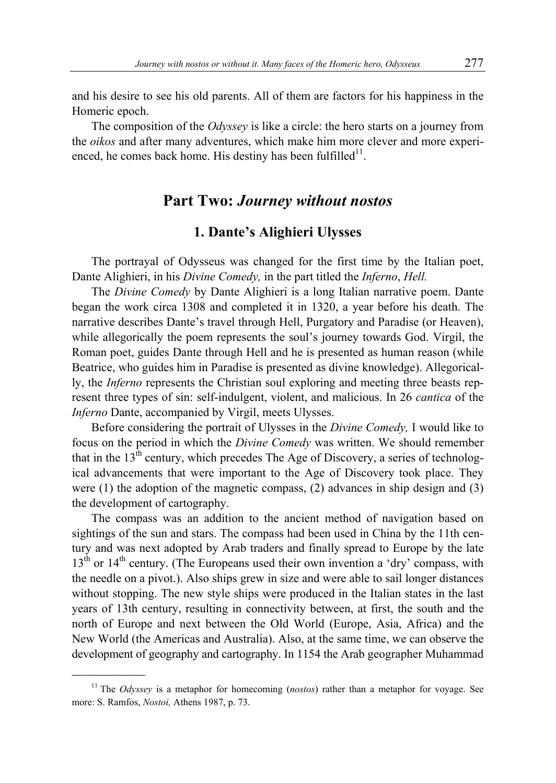and his desire to see his old parents. All of them are factors for his happiness in the Homeric epoch.

The composition of the *Odyssey* is like a circle: the hero starts on a journey from the *oikos* and after many adventures, which make him more clever and more experienced, he comes back home. His destiny has been fulfilled $11$ .

# **Part Two:** *Journey without nostos*

## **1. Dante's Alighieri Ulysses**

The portrayal of Odysseus was changed for the first time by the Italian poet, Dante Alighieri, in his *Divine Comedy,* in the part titled the *Inferno*, *Hell.* 

The *Divine Comedy* by Dante Alighieri is a long Italian narrative poem. Dante began the work circa 1308 and completed it in 1320, a year before his death. The narrative describes Dante's travel through Hell, Purgatory and Paradise (or Heaven), while allegorically the poem represents the soul's journey towards God. Virgil, the Roman poet, guides Dante through Hell and he is presented as human reason (while Beatrice, who guides him in Paradise is presented as divine knowledge). Allegorically, the *Inferno* represents the Christian soul exploring and meeting three beasts represent three types of sin: self-indulgent, violent, and malicious. In 26 *cantica* of the *Inferno* Dante, accompanied by Virgil, meets Ulysses.

Before considering the portrait of Ulysses in the *Divine Comedy,* I would like to focus on the period in which the *Divine Comedy* was written. We should remember that in the  $13<sup>th</sup>$  century, which precedes The Age of Discovery, a series of technological advancements that were important to the Age of Discovery took place. They were  $(1)$  the adoption of the magnetic compass,  $(2)$  advances in ship design and  $(3)$ the development of cartography.

The compass was an addition to the ancient method of navigation based on sightings of the sun and stars. The compass had been used in China by the 11th century and was next adopted by Arab traders and finally spread to Europe by the late 13<sup>th</sup> or 14<sup>th</sup> century. (The Europeans used their own invention a 'dry' compass, with the needle on a pivot.). Also ships grew in size and were able to sail longer distances without stopping. The new style ships were produced in the Italian states in the last years of 13th century, resulting in connectivity between, at first, the south and the north of Europe and next between the Old World (Europe, Asia, Africa) and the New World (the Americas and Australia). Also, at the same time, we can observe the development of geography and cartography. In 1154 the Arab geographer Muhammad

<sup>&</sup>lt;sup>11</sup> The *Odyssey* is a metaphor for homecoming (*nostos*) rather than a metaphor for voyage. See more: S. Ramfos, *Nostoi,* Athens 1987, p. 73.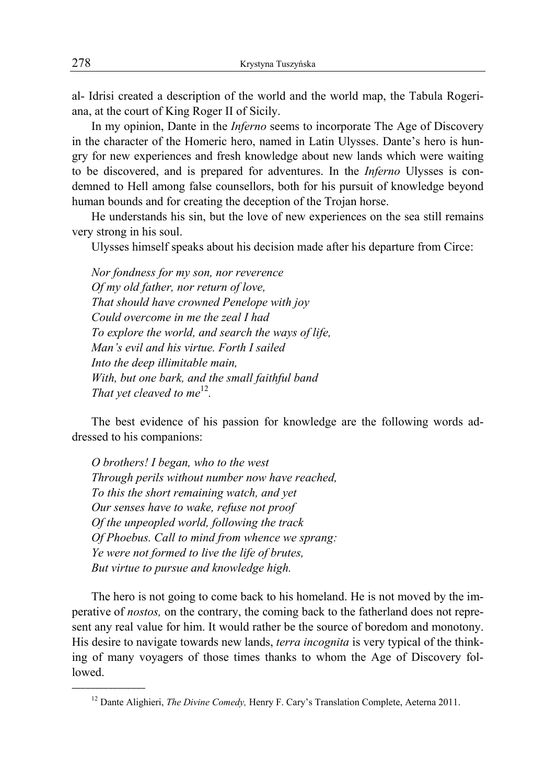al- Idrisi created a description of the world and the world map, the Tabula Rogeriana, at the court of King Roger II of Sicily.

In my opinion, Dante in the *Inferno* seems to incorporate The Age of Discovery in the character of the Homeric hero, named in Latin Ulysses. Dante's hero is hungry for new experiences and fresh knowledge about new lands which were waiting to be discovered, and is prepared for adventures. In the *Inferno* Ulysses is condemned to Hell among false counsellors, both for his pursuit of knowledge beyond human bounds and for creating the deception of the Trojan horse.

He understands his sin, but the love of new experiences on the sea still remains very strong in his soul.

Ulysses himself speaks about his decision made after his departure from Circe:

*Nor fondness for my son, nor reverence Of my old father, nor return of love, That should have crowned Penelope with joy Could overcome in me the zeal I had To explore the world, and search the ways of life, Man's evil and his virtue. Forth I sailed Into the deep illimitable main, With, but one bark, and the small faithful band That yet cleaved to me*<sup>12</sup>.

The best evidence of his passion for knowledge are the following words addressed to his companions:

*O brothers! I began, who to the west Through perils without number now have reached, To this the short remaining watch, and yet Our senses have to wake, refuse not proof Of the unpeopled world, following the track Of Phoebus. Call to mind from whence we sprang: Ye were not formed to live the life of brutes, But virtue to pursue and knowledge high.* 

\_\_\_\_\_\_\_\_\_\_\_\_\_\_\_\_

The hero is not going to come back to his homeland. He is not moved by the imperative of *nostos,* on the contrary, the coming back to the fatherland does not represent any real value for him. It would rather be the source of boredom and monotony. His desire to navigate towards new lands, *terra incognita* is very typical of the thinking of many voyagers of those times thanks to whom the Age of Discovery followed.

<sup>&</sup>lt;sup>12</sup> Dante Alighieri, *The Divine Comedy*, Henry F. Cary's Translation Complete, Aeterna 2011.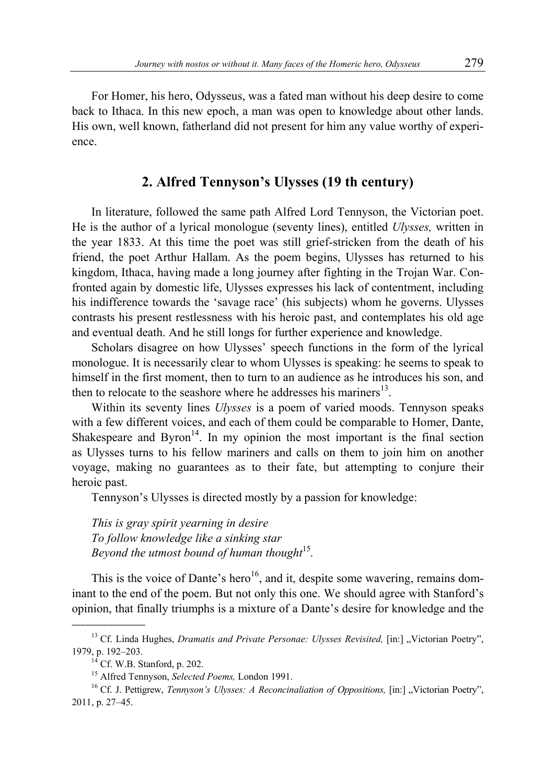For Homer, his hero, Odysseus, was a fated man without his deep desire to come back to Ithaca. In this new epoch, a man was open to knowledge about other lands. His own, well known, fatherland did not present for him any value worthy of experience.

## **2. Alfred Tennyson's Ulysses (19 th century)**

In literature, followed the same path Alfred Lord Tennyson, the Victorian poet. He is the author of a lyrical monologue (seventy lines), entitled *Ulysses,* written in the year 1833. At this time the poet was still grief-stricken from the death of his friend, the poet Arthur Hallam. As the poem begins, Ulysses has returned to his kingdom, Ithaca, having made a long journey after fighting in the Trojan War. Confronted again by domestic life, Ulysses expresses his lack of contentment, including his indifference towards the 'savage race' (his subjects) whom he governs. Ulysses contrasts his present restlessness with his heroic past, and contemplates his old age and eventual death. And he still longs for further experience and knowledge.

Scholars disagree on how Ulysses' speech functions in the form of the lyrical monologue. It is necessarily clear to whom Ulysses is speaking: he seems to speak to himself in the first moment, then to turn to an audience as he introduces his son, and then to relocate to the seashore where he addresses his mariners<sup>13</sup>.

Within its seventy lines *Ulysses* is a poem of varied moods. Tennyson speaks with a few different voices, and each of them could be comparable to Homer, Dante, Shakespeare and Byron<sup>14</sup>. In my opinion the most important is the final section as Ulysses turns to his fellow mariners and calls on them to join him on another voyage, making no guarantees as to their fate, but attempting to conjure their heroic past.

Tennyson's Ulysses is directed mostly by a passion for knowledge:

*This is gray spirit yearning in desire To follow knowledge like a sinking star Beyond the utmost bound of human thought*<sup>15</sup>.

This is the voice of Dante's hero<sup>16</sup>, and it, despite some wavering, remains dominant to the end of the poem. But not only this one. We should agree with Stanford's opinion, that finally triumphs is a mixture of a Dante's desire for knowledge and the

 $\overline{\phantom{a}}$  , where  $\overline{\phantom{a}}$ 

<sup>&</sup>lt;sup>13</sup> Cf. Linda Hughes, *Dramatis and Private Personae: Ulysses Revisited*, [in:] "Victorian Poetry", 1979, p. 192–203.<br><sup>14</sup> Cf. W.B. Stanford, p. 202.

<sup>&</sup>lt;sup>15</sup> Alfred Tennyson, *Selected Poems*, London 1991.<br><sup>16</sup> Cf. J. Pettigrew, *Tennyson's Ulysses: A Reconcinaliation of Oppositions*, [in:] "Victorian Poetry", 2011, p. 27–45.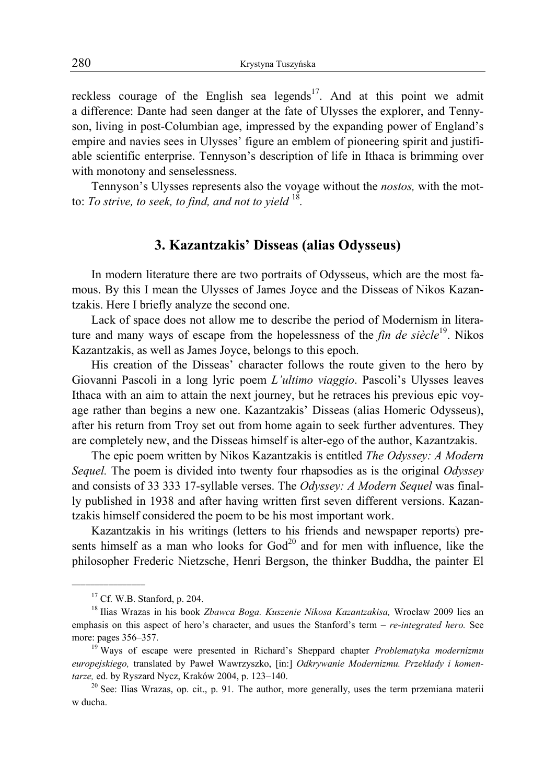reckless courage of the English sea legends<sup>17</sup>. And at this point we admit a difference: Dante had seen danger at the fate of Ulysses the explorer, and Tennyson, living in post-Columbian age, impressed by the expanding power of England's empire and navies sees in Ulysses' figure an emblem of pioneering spirit and justifiable scientific enterprise. Tennyson's description of life in Ithaca is brimming over with monotony and senselessness.

Tennyson's Ulysses represents also the voyage without the *nostos,* with the motto: *To strive, to seek, to find, and not to yield* <sup>18</sup>*.*

## **3. Kazantzakis' Disseas (alias Odysseus)**

In modern literature there are two portraits of Odysseus, which are the most famous. By this I mean the Ulysses of James Joyce and the Disseas of Nikos Kazantzakis. Here I briefly analyze the second one.

Lack of space does not allow me to describe the period of Modernism in literature and many ways of escape from the hopelessness of the *fin de siècle*<sup>19</sup>. Nikos Kazantzakis, as well as James Joyce, belongs to this epoch.

His creation of the Disseas' character follows the route given to the hero by Giovanni Pascoli in a long lyric poem *L'ultimo viaggio*. Pascoli's Ulysses leaves Ithaca with an aim to attain the next journey, but he retraces his previous epic voyage rather than begins a new one. Kazantzakis' Disseas (alias Homeric Odysseus), after his return from Troy set out from home again to seek further adventures. They are completely new, and the Disseas himself is alter-ego of the author, Kazantzakis.

The epic poem written by Nikos Kazantzakis is entitled *The Odyssey: A Modern Sequel.* The poem is divided into twenty four rhapsodies as is the original *Odyssey*  and consists of 33 333 17-syllable verses. The *Odyssey: A Modern Sequel* was finally published in 1938 and after having written first seven different versions. Kazantzakis himself considered the poem to be his most important work.

Kazantzakis in his writings (letters to his friends and newspaper reports) presents himself as a man who looks for  $God<sup>20</sup>$  and for men with influence, like the philosopher Frederic Nietzsche, Henri Bergson, the thinker Buddha, the painter El

 $17$  Cf. W.B. Stanford, p. 204.

<sup>18</sup> Ilias Wrazas in his book *Zbawca Boga. Kuszenie Nikosa Kazantzakisa,* Wrocław 2009 lies an emphasis on this aspect of hero's character, and usues the Stanford's term – *re-integrated hero.* See more: pages 356–357.<br><sup>19</sup> Ways of escape were presented in Richard's Sheppard chapter *Problematyka modernizmu* 

*europejskiego,* translated by Paweł Wawrzyszko, [in:] *Odkrywanie Modernizmu. Przekłady i komentarze,* ed. by Ryszard Nycz, Kraków 2004, p. 123–140.

 $20$  See: Ilias Wrazas, op. cit., p. 91. The author, more generally, uses the term przemiana materii w ducha.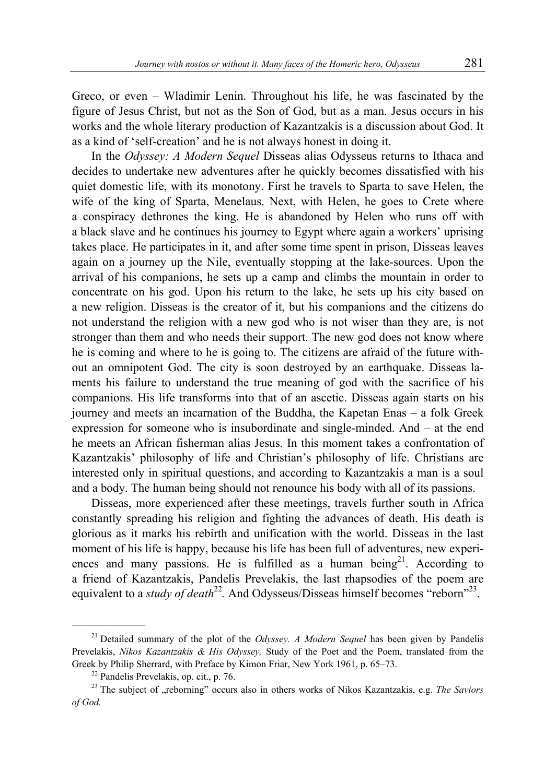Greco, or even – Wladimir Lenin. Throughout his life, he was fascinated by the figure of Jesus Christ, but not as the Son of God, but as a man. Jesus occurs in his works and the whole literary production of Kazantzakis is a discussion about God. It as a kind of 'self-creation' and he is not always honest in doing it.

In the *Odyssey: A Modern Sequel* Disseas alias Odysseus returns to Ithaca and decides to undertake new adventures after he quickly becomes dissatisfied with his quiet domestic life, with its monotony. First he travels to Sparta to save Helen, the wife of the king of Sparta, Menelaus. Next, with Helen, he goes to Crete where a conspiracy dethrones the king. He is abandoned by Helen who runs off with a black slave and he continues his journey to Egypt where again a workers' uprising takes place. He participates in it, and after some time spent in prison, Disseas leaves again on a journey up the Nile, eventually stopping at the lake-sources. Upon the arrival of his companions, he sets up a camp and climbs the mountain in order to concentrate on his god. Upon his return to the lake, he sets up his city based on a new religion. Disseas is the creator of it, but his companions and the citizens do not understand the religion with a new god who is not wiser than they are, is not stronger than them and who needs their support. The new god does not know where he is coming and where to he is going to. The citizens are afraid of the future without an omnipotent God. The city is soon destroyed by an earthquake. Disseas laments his failure to understand the true meaning of god with the sacrifice of his companions. His life transforms into that of an ascetic. Disseas again starts on his journey and meets an incarnation of the Buddha, the Kapetan Enas – a folk Greek expression for someone who is insubordinate and single-minded. And – at the end he meets an African fisherman alias Jesus. In this moment takes a confrontation of Kazantzakis' philosophy of life and Christian's philosophy of life. Christians are interested only in spiritual questions, and according to Kazantzakis a man is a soul and a body. The human being should not renounce his body with all of its passions.

Disseas, more experienced after these meetings, travels further south in Africa constantly spreading his religion and fighting the advances of death. His death is glorious as it marks his rebirth and unification with the world. Disseas in the last moment of his life is happy, because his life has been full of adventures, new experiences and many passions. He is fulfilled as a human being<sup>21</sup>. According to a friend of Kazantzakis, Pandelis Prevelakis, the last rhapsodies of the poem are equivalent to a *study of death*<sup>22</sup>. And Odysseus/Disseas himself becomes "reborn"<sup>23</sup>.

 $\overline{\phantom{a}}$  , where  $\overline{\phantom{a}}$ 

<sup>21</sup> Detailed summary of the plot of the *Odyssey. A Modern Sequel* has been given by Pandelis Prevelakis, *Nikos Kazantzakis & His Odyssey,* Study of the Poet and the Poem, translated from the Greek by Philip Sherrard, with Preface by Kimon Friar, New York 1961, p. 65–73.<br><sup>22</sup> Pandelis Prevelakis, op. cit., p. 76.

<sup>&</sup>lt;sup>23</sup> The subject of "reborning" occurs also in others works of Nikos Kazantzakis, e.g. *The Saviors of God.*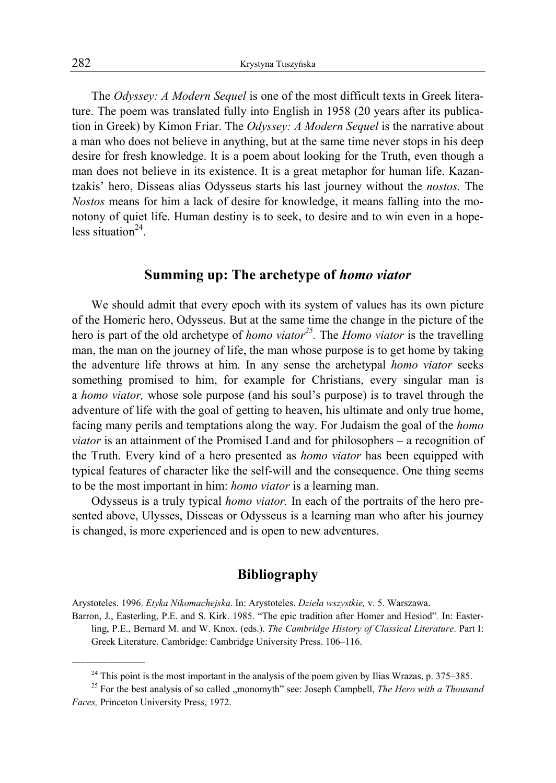The *Odyssey: A Modern Sequel* is one of the most difficult texts in Greek literature. The poem was translated fully into English in 1958 (20 years after its publication in Greek) by Kimon Friar. The *Odyssey: A Modern Sequel* is the narrative about a man who does not believe in anything, but at the same time never stops in his deep desire for fresh knowledge. It is a poem about looking for the Truth, even though a man does not believe in its existence. It is a great metaphor for human life. Kazantzakis' hero, Disseas alias Odysseus starts his last journey without the *nostos.* The *Nostos* means for him a lack of desire for knowledge, it means falling into the monotony of quiet life. Human destiny is to seek, to desire and to win even in a hopeless situation $24$ .

#### **Summing up: The archetype of** *homo viator*

We should admit that every epoch with its system of values has its own picture of the Homeric hero, Odysseus. But at the same time the change in the picture of the hero is part of the old archetype of *homo viator*<sup>25</sup>. The *Homo viator* is the travelling man, the man on the journey of life, the man whose purpose is to get home by taking the adventure life throws at him. In any sense the archetypal *homo viator* seeks something promised to him, for example for Christians, every singular man is a *homo viator,* whose sole purpose (and his soul's purpose) is to travel through the adventure of life with the goal of getting to heaven, his ultimate and only true home, facing many perils and temptations along the way. For Judaism the goal of the *homo viator* is an attainment of the Promised Land and for philosophers – a recognition of the Truth. Every kind of a hero presented as *homo viator* has been equipped with typical features of character like the self-will and the consequence. One thing seems to be the most important in him: *homo viator* is a learning man.

Odysseus is a truly typical *homo viator.* In each of the portraits of the hero presented above, Ulysses, Disseas or Odysseus is a learning man who after his journey is changed, is more experienced and is open to new adventures.

#### **Bibliography**

Arystoteles. 1996. *Etyka Nikomachejska*. In: Arystoteles. *Dzieła wszystkie,* v. 5. Warszawa.

Barron, J., Easterling, P.E. and S. Kirk. 1985. "The epic tradition after Homer and Hesiod"*.* In: Easterling, P.E., Bernard M. and W. Knox. (eds.). *The Cambridge History of Classical Literature*. Part I: Greek Literature. Cambridge: Cambridge University Press. 106–116.

<sup>&</sup>lt;sup>24</sup> This point is the most important in the analysis of the poem given by Ilias Wrazas, p. 375–385.<br><sup>25</sup> For the best analysis of so called "monomyth" see: Joseph Campbell, *The Hero with a Thousand* 

*Faces,* Princeton University Press, 1972.